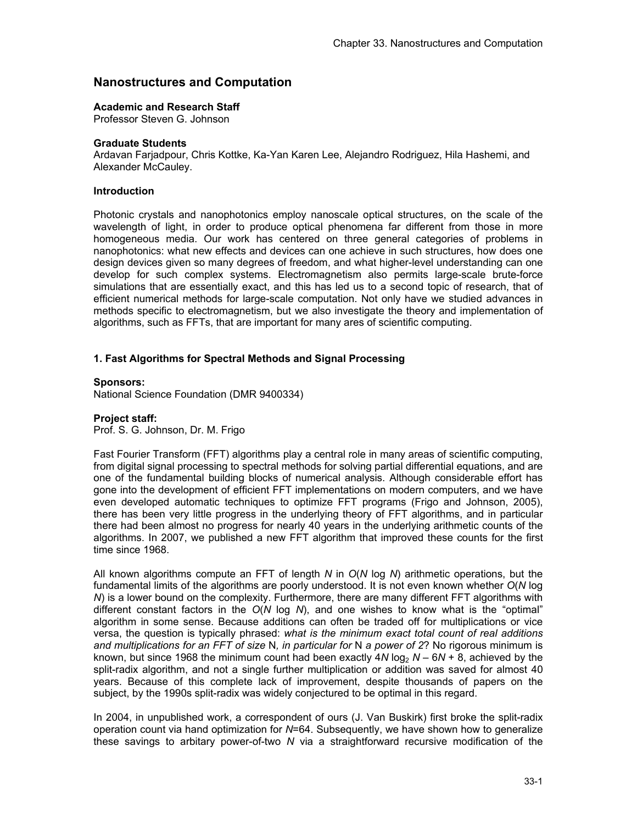# **Nanostructures and Computation**

## **Academic and Research Staff**

Professor Steven G. Johnson

### **Graduate Students**

Ardavan Farjadpour, Chris Kottke, Ka-Yan Karen Lee, Alejandro Rodriguez, Hila Hashemi, and Alexander McCauley.

### **Introduction**

Photonic crystals and nanophotonics employ nanoscale optical structures, on the scale of the wavelength of light, in order to produce optical phenomena far different from those in more homogeneous media. Our work has centered on three general categories of problems in nanophotonics: what new effects and devices can one achieve in such structures, how does one design devices given so many degrees of freedom, and what higher-level understanding can one develop for such complex systems. Electromagnetism also permits large-scale brute-force simulations that are essentially exact, and this has led us to a second topic of research, that of efficient numerical methods for large-scale computation. Not only have we studied advances in methods specific to electromagnetism, but we also investigate the theory and implementation of algorithms, such as FFTs, that are important for many ares of scientific computing.

# **1. Fast Algorithms for Spectral Methods and Signal Processing**

#### **Sponsors:**

National Science Foundation (DMR 9400334)

### **Project staff:**

Prof. S. G. Johnson, Dr. M. Frigo

Fast Fourier Transform (FFT) algorithms play a central role in many areas of scientific computing, from digital signal processing to spectral methods for solving partial differential equations, and are one of the fundamental building blocks of numerical analysis. Although considerable effort has gone into the development of efficient FFT implementations on modern computers, and we have even developed automatic techniques to optimize FFT programs (Frigo and Johnson, 2005), there has been very little progress in the underlying theory of FFT algorithms, and in particular there had been almost no progress for nearly 40 years in the underlying arithmetic counts of the algorithms. In 2007, we published a new FFT algorithm that improved these counts for the first time since 1968.

All known algorithms compute an FFT of length *N* in *O*(*N* log *N*) arithmetic operations, but the fundamental limits of the algorithms are poorly understood. It is not even known whether *O*(*N* log *N*) is a lower bound on the complexity. Furthermore, there are many different FFT algorithms with different constant factors in the *O*(*N* log *N*), and one wishes to know what is the "optimal" algorithm in some sense. Because additions can often be traded off for multiplications or vice versa, the question is typically phrased: *what is the minimum exact total count of real additions and multiplications for an FFT of size* N*, in particular for* N *a power of 2*? No rigorous minimum is known, but since 1968 the minimum count had been exactly  $4N \log_2 N - 6N + 8$ , achieved by the split-radix algorithm, and not a single further multiplication or addition was saved for almost 40 years. Because of this complete lack of improvement, despite thousands of papers on the subject, by the 1990s split-radix was widely conjectured to be optimal in this regard.

In 2004, in unpublished work, a correspondent of ours (J. Van Buskirk) first broke the split-radix operation count via hand optimization for *N*=64. Subsequently, we have shown how to generalize these savings to arbitary power-of-two *N* via a straightforward recursive modification of the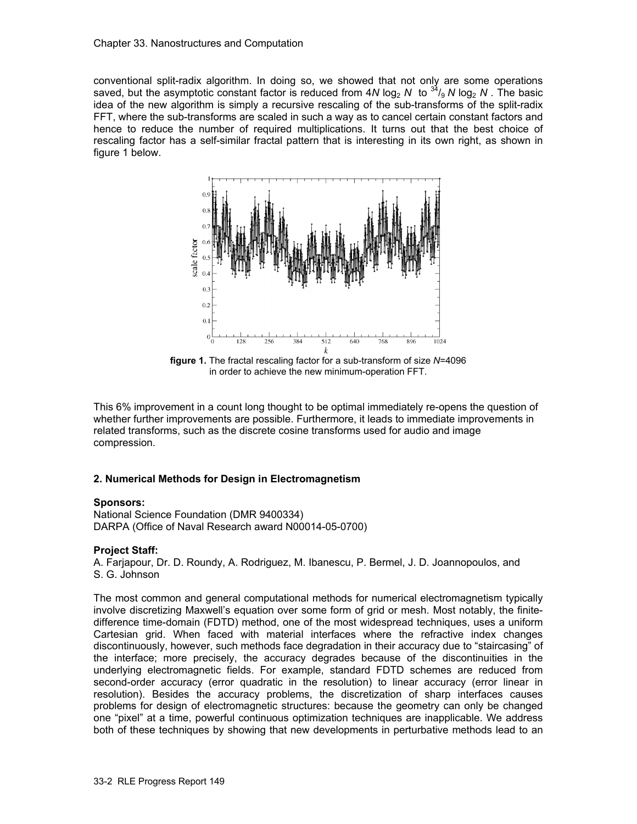conventional split-radix algorithm. In doing so, we showed that not only are some operations saved, but the asymptotic constant factor is reduced from 4*N* log<sub>2</sub> *N* to  $34/9$  *N* log<sub>2</sub> *N*. The basic idea of the new algorithm is simply a recursive rescaling of the sub-transforms of the split-radix FFT, where the sub-transforms are scaled in such a way as to cancel certain constant factors and hence to reduce the number of required multiplications. It turns out that the best choice of rescaling factor has a self-similar fractal pattern that is interesting in its own right, as shown in figure 1 below.



**figure 1.** The fractal rescaling factor for a sub-transform of size *N*=4096 in order to achieve the new minimum-operation FFT.

This 6% improvement in a count long thought to be optimal immediately re-opens the question of whether further improvements are possible. Furthermore, it leads to immediate improvements in related transforms, such as the discrete cosine transforms used for audio and image compression.

### **2. Numerical Methods for Design in Electromagnetism**

### **Sponsors:**

National Science Foundation (DMR 9400334) DARPA (Office of Naval Research award N00014-05-0700)

### **Project Staff:**

A. Farjapour, Dr. D. Roundy, A. Rodriguez, M. Ibanescu, P. Bermel, J. D. Joannopoulos, and S. G. Johnson

The most common and general computational methods for numerical electromagnetism typically involve discretizing Maxwell's equation over some form of grid or mesh. Most notably, the finitedifference time-domain (FDTD) method, one of the most widespread techniques, uses a uniform Cartesian grid. When faced with material interfaces where the refractive index changes discontinuously, however, such methods face degradation in their accuracy due to "staircasing" of the interface; more precisely, the accuracy degrades because of the discontinuities in the underlying electromagnetic fields. For example, standard FDTD schemes are reduced from second-order accuracy (error quadratic in the resolution) to linear accuracy (error linear in resolution). Besides the accuracy problems, the discretization of sharp interfaces causes problems for design of electromagnetic structures: because the geometry can only be changed one "pixel" at a time, powerful continuous optimization techniques are inapplicable. We address both of these techniques by showing that new developments in perturbative methods lead to an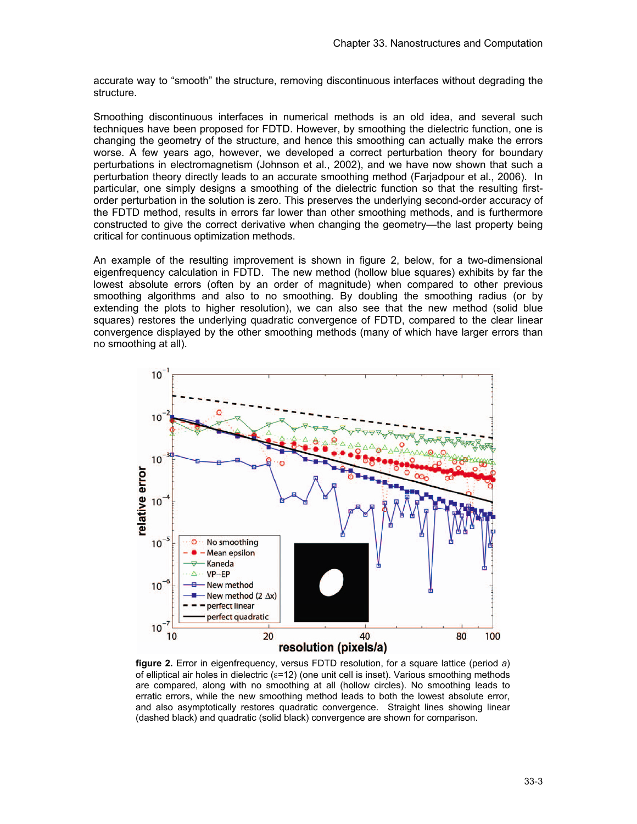accurate way to "smooth" the structure, removing discontinuous interfaces without degrading the structure.

Smoothing discontinuous interfaces in numerical methods is an old idea, and several such techniques have been proposed for FDTD. However, by smoothing the dielectric function, one is changing the geometry of the structure, and hence this smoothing can actually make the errors worse. A few years ago, however, we developed a correct perturbation theory for boundary perturbations in electromagnetism (Johnson et al., 2002), and we have now shown that such a perturbation theory directly leads to an accurate smoothing method (Farjadpour et al., 2006). In particular, one simply designs a smoothing of the dielectric function so that the resulting firstorder perturbation in the solution is zero. This preserves the underlying second-order accuracy of the FDTD method, results in errors far lower than other smoothing methods, and is furthermore constructed to give the correct derivative when changing the geometry—the last property being critical for continuous optimization methods.

An example of the resulting improvement is shown in figure 2, below, for a two-dimensional eigenfrequency calculation in FDTD. The new method (hollow blue squares) exhibits by far the lowest absolute errors (often by an order of magnitude) when compared to other previous smoothing algorithms and also to no smoothing. By doubling the smoothing radius (or by extending the plots to higher resolution), we can also see that the new method (solid blue squares) restores the underlying quadratic convergence of FDTD, compared to the clear linear convergence displayed by the other smoothing methods (many of which have larger errors than no smoothing at all).



**figure 2.** Error in eigenfrequency, versus FDTD resolution, for a square lattice (period *a*) of elliptical air holes in dielectric (ε=12) (one unit cell is inset). Various smoothing methods are compared, along with no smoothing at all (hollow circles). No smoothing leads to erratic errors, while the new smoothing method leads to both the lowest absolute error, and also asymptotically restores quadratic convergence. Straight lines showing linear (dashed black) and quadratic (solid black) convergence are shown for comparison.